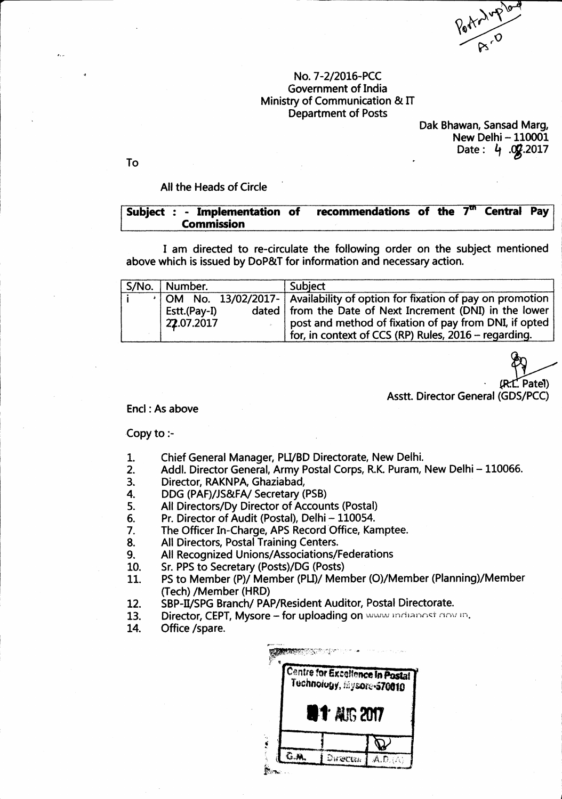Portraited

## No. 7-2/2016-PCC Government of India Ministry of Communication & IT **Department of Posts**

Dak Bhawan, Sansad Marg, New Delhi - 110001 Date:  $4.02.2017$ 

To

# All the Heads of Circle

#### **Central Pay** Subject : - Implementation of recommendations of the  $7^{\rm m}$ **Commission**

I am directed to re-circulate the following order on the subject mentioned above which is issued by DoP&T for information and necessary action.

| S/No.   Number.            | <b>Subject</b>                                                                                                                                                                                          |
|----------------------------|---------------------------------------------------------------------------------------------------------------------------------------------------------------------------------------------------------|
| Estt.(Pay-I)<br>22.07.2017 | ·   OM No. 13/02/2017-   Availability of option for fixation of pay on promotion<br>dated   from the Date of Next Increment (DNI) in the lower<br>post and method of fixation of pay from DNI, if opted |
|                            | for, in context of CCS (RP) Rules, 2016 - regarding.                                                                                                                                                    |

(R.C. Patel)

Asstt. Director General (GDS/PCC)

## Encl: As above

# Copy to :-

- Chief General Manager, PLI/BD Directorate, New Delhi. 1.
- $2.$ Addl. Director General, Army Postal Corps, R.K. Puram, New Delhi - 110066.
- Director, RAKNPA, Ghaziabad, 3.
- DDG (PAF)/JS&FA/ Secretary (PSB) 4.
- All Directors/Dy Director of Accounts (Postal) 5.
- Pr. Director of Audit (Postal), Delhi 110054. 6.
- $\overline{7}$ . The Officer In-Charge, APS Record Office, Kamptee.
- All Directors, Postal Training Centers. 8.
- All Recognized Unions/Associations/Federations 9.
- Sr. PPS to Secretary (Posts)/DG (Posts) 10.
- PS to Member (P)/ Member (PLI)/ Member (O)/Member (Planning)/Member 11. (Tech) /Member (HRD)
- SBP-II/SPG Branch/ PAP/Resident Auditor, Postal Directorate. 12.
- Director, CEPT, Mysore for uploading on www.indianost.cov.in. 13.
- 14. Office /spare.

| Centre for Excellence In Postal<br>Tuchnology, Mysore-570010 |  |  |  |  |
|--------------------------------------------------------------|--|--|--|--|
| <b>817 AUG 2017</b>                                          |  |  |  |  |
|                                                              |  |  |  |  |
|                                                              |  |  |  |  |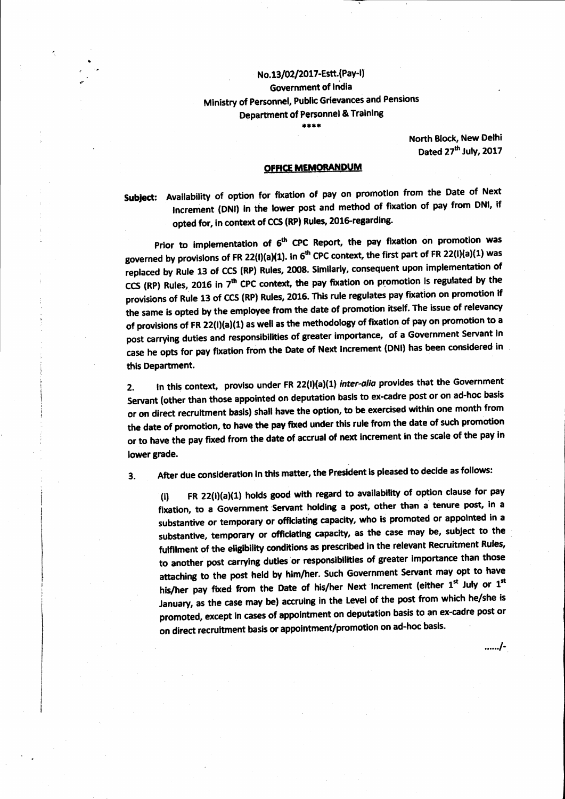# No.13/02/2017-Estt.(Pay-I) **Government of India** Ministry of Personnel, Public Grievances and Pensions **Department of Personnel & Training**

\*\*\*\*

North Block, New Delhi Dated 27th July, 2017

....../-

## **OFFICE MEMORANDUM**

Subject: Availability of option for fixation of pay on promotion from the Date of Next Increment (DNI) in the lower post and method of fixation of pay from DNI, if opted for, in context of CCS (RP) Rules, 2016-regarding.

Prior to implementation of 6<sup>th</sup> CPC Report, the pay fixation on promotion was governed by provisions of FR 22(I)(a)(1). In 6<sup>th</sup> CPC context, the first part of FR 22(I)(a)(1) was replaced by Rule 13 of CCS (RP) Rules, 2008. Similarly, consequent upon implementation of CCS (RP) Rules, 2016 in 7<sup>th</sup> CPC context, the pay fixation on promotion is regulated by the provisions of Rule 13 of CCS (RP) Rules, 2016. This rule regulates pay fixation on promotion if the same is opted by the employee from the date of promotion itself. The issue of relevancy of provisions of FR 22(i)(a)(1) as well as the methodology of fixation of pay on promotion to a post carrying duties and responsibilities of greater importance, of a Government Servant in case he opts for pay fixation from the Date of Next Increment (DNI) has been considered in this Department.

In this context, proviso under FR 22(I)(a)(1) inter-alia provides that the Government  $2.$ Servant (other than those appointed on deputation basis to ex-cadre post or on ad-hoc basis or on direct recruitment basis) shall have the option, to be exercised within one month from the date of promotion, to have the pay fixed under this rule from the date of such promotion or to have the pay fixed from the date of accrual of next increment in the scale of the pay in lower grade.

After due consideration in this matter, the President is pleased to decide as follows: 3.

FR 22(I)(a)(1) holds good with regard to availability of option clause for pay  $(i)$ fixation, to a Government Servant holding a post, other than a tenure post, in a substantive or temporary or officiating capacity, who is promoted or appointed in a substantive, temporary or officiating capacity, as the case may be, subject to the fulfilment of the eligibility conditions as prescribed in the relevant Recruitment Rules, to another post carrying duties or responsibilities of greater importance than those attaching to the post held by him/her. Such Government Servant may opt to have his/her pay fixed from the Date of his/her Next increment (either 1st July or 1st January, as the case may be) accruing in the Level of the post from which he/she is promoted, except in cases of appointment on deputation basis to an ex-cadre post or on direct recruitment basis or appointment/promotion on ad-hoc basis.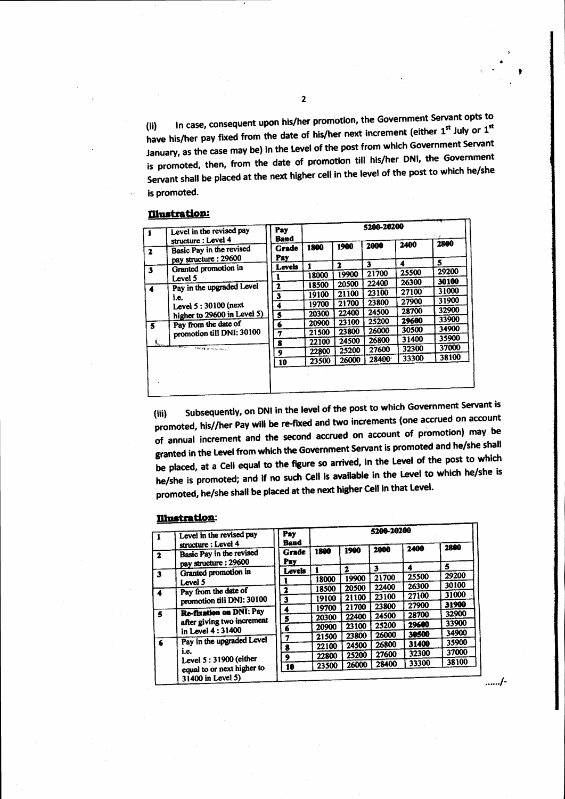In case, consequent upon his/her promotion, the Government Servant opts to  $(ii)$ have his/her pay fixed from the date of his/her next increment (either 1st July or 1st January, as the case may be) in the Level of the post from which Government Servant is promoted, then, from the date of promotion till his/her DNI, the Government Servant shall be placed at the next higher cell in the level of the post to which he/she is promoted.

### **Illustration:**

| 1                         | Level in the revised pay                                                | Pay<br>Band      | 5200-20200 |       |       |       |       |
|---------------------------|-------------------------------------------------------------------------|------------------|------------|-------|-------|-------|-------|
| $\mathbf{z}$              | structure : Level 4<br>Basic Pay in the revised<br>pay structure: 29600 | Grade<br>Pay     | 1800       | 1900  | 2000  | 2400  | 2800  |
|                           | Granted promotion in                                                    | Levels           |            | 2     | 3     | 4     | 5     |
| $\overline{\mathbf{3}}$   |                                                                         |                  | 18000      | 19900 | 21700 | 25500 | 29200 |
|                           | Level 5<br>Pay in the upgraded Level<br>i.e.<br>Level 5:30100 (next     | 2                | 18500      | 20500 | 22400 | 26300 | 30100 |
| $\blacktriangle$          |                                                                         | 3                | 19100      | 21100 | 23100 | 27100 | 31000 |
|                           |                                                                         | 4                | 19700      | 21700 | 23800 | 27900 | 31900 |
|                           | higher to 29600 in Level 5)                                             | $\boldsymbol{s}$ | 20300      | 22400 | 24500 | 28700 | 32900 |
|                           | Pay from the date of                                                    | 6                | 20900      | 23100 | 25200 | 29600 | 33900 |
| 5                         | promotion till DNI: 30100                                               | 7                | 21500      | 23800 | 26000 | 30500 | 34900 |
| $\mathbf{I}_{\text{new}}$ |                                                                         | 8                | 22100      | 24500 | 26800 | 31400 | 35900 |
|                           | <b>MONARCHAN</b><br>THESE INTERVIEWS                                    | 9                | 22800      | 25200 | 27600 | 32300 | 37000 |
|                           |                                                                         | 10               | 23500      | 26000 | 28400 | 33300 | 38100 |
|                           |                                                                         |                  |            |       |       |       |       |

Subsequently, on DNI in the level of the post to which Government Servant is  $(iii)$ promoted, his//her Pay will be re-fixed and two increments (one accrued on account of annual increment and the second accrued on account of promotion) may be granted in the Level from which the Government Servant is promoted and he/she shall be placed, at a Cell equal to the figure so arrived, in the Level of the post to which he/she is promoted; and if no such Cell is available in the Level to which he/she is promoted, he/she shall be placed at the next higher Cell in that Level.

## **Illustration:**

|                                                                          | Level in the revised pay<br>structure: Level 4               | Pay<br>Band             | 5200-20200 |       |       |       |       |
|--------------------------------------------------------------------------|--------------------------------------------------------------|-------------------------|------------|-------|-------|-------|-------|
| $\mathbf{2}$                                                             | Basic Pay in the revised<br>pay structure: 29600             | <b>Grade</b><br>Pav     | 1800       | 1900  | 2000  | 2400  | 2800  |
|                                                                          | Granted promotion in                                         | <b>Levels</b>           |            | 2     | 3     | 4     | 5     |
| $\overline{\mathbf{3}}$                                                  |                                                              |                         | 18000      | 19900 | 21700 | 25500 | 29200 |
|                                                                          | Level 5<br>Pay from the date of<br>promotion till DNI: 30100 | 2                       | 18500      | 20500 | 22400 | 26300 | 30100 |
|                                                                          |                                                              | $\overline{\mathbf{3}}$ | 19100      | 21100 | 23100 | 27100 | 31000 |
|                                                                          |                                                              |                         | 19700      | 21700 | 23800 | 27900 | 31900 |
| 5                                                                        | Re-fixation on DNI: Pay                                      | 4<br>5                  | 20300      | 22400 | 24500 | 28700 | 32900 |
|                                                                          | after giving two increment                                   | 6                       | 20900      | 23100 | 25200 | 29600 | 33900 |
|                                                                          | in Level 4:31400                                             | $\overline{7}$          | 21500      | 23800 | 26000 | 30500 | 34900 |
| $\epsilon$                                                               | Pay in the upgraded Level                                    | 8                       | 22100      | 24500 | 26800 | 31400 | 35900 |
|                                                                          | i.e.                                                         | 9                       | 22800      | 25200 | 27600 | 32300 | 37000 |
| Level 5:31900 (either<br>equal to or next higher to<br>31400 in Level 5) |                                                              | 10                      | 23500      | 26000 | 28400 | 33300 | 38100 |
|                                                                          |                                                              |                         |            |       |       |       |       |

....../-

 $\cdot$  2